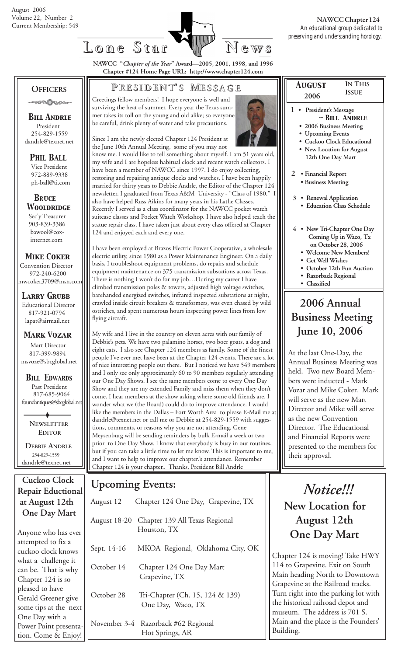

 *August*

**IN THIS ISSUE**

**NAWCC "***Chapter of the Year***" Award—2005, 2001, 1998, and 1996 Chapter #124 Home Page URL: http://www.chapter124.com**

#### **OFFICERS**

.000000

 *Bill Andrle* President 254-829-1559 dandrle@texnet.net

 *PHIL BALL* Vice President

 972-889-9338 ph-ball@ti.com

 *BRuce Wooldridge* Sec'y Treasurer 903-839-3386 bawool@cox internet.com

#### *Mike Coker*

 Convention Director 972-240-6200 mwcoker3709@msn.com

*Larry Grubb* Educational Director 817-921-0794 lapat@airmail.net

#### *Mark Vozar*

**Mart Director**  817-399-9894 msvoze@sbcglobal.net

*BILL EDWARDS* Past President 817-685-9064 foundantiques@sbcglobal.net

> **NEWSLETTER EDITOR**

 **DEBBIE ANDRLE** 254-829-1559 dandrle@texnet.net

#### **Cuckoo Clock Repair Eductional at August 12th One Day Mart**

Anyone who has ever attempted to fix a cuckoo clock knows what a challenge it can be. That is why Chapter 124 is so pleased to have Gerald Greener give some tips at the next One Day with a Power Point presentation. Come & Enjoy!

#### **P RESIDENT RESIDENT' S M ESSAGE**

Greetings fellow members! I hope everyone is well and surviving the heat of summer. Every year the Texas summer takes its toll on the young and old alike; so everyone be careful, drink plenty of water and take precautions.



Since I am the newly elected Chapter 124 President at the June 10th Annual Meeting, some of you may not know me. I would like to tell something about myself. I am 51 years old, my wife and I are hopeless habitual clock and recent watch collectors. I have been a member of NAWCC since 1997. I do enjoy collecting, restoring and repairing antique clocks and watches. I have been happily married for thirty years to Debbie Andrle, the Editor of the Chapter 124 newsletter. I graduated from Texas A&M University - "Class of 1980." I also have helped Russ Aikins for many years in his Lathe Classes. Recently I served as a class coordinator for the NAWCC pocket watch suitcase classes and Pocket Watch Workshop. I have also helped teach the statue repair class. I have taken just about every class offered at Chapter 124 and enjoyed each and every one.

I have been employed at Brazos Electric Power Cooperative, a wholesale electric utility, since 1980 as a Power Maintenance Engineer. On a daily basis, I troubleshoot equipment problems, do repairs and schedule equipment maintenance on 375 transmission substations across Texas. There is nothing I won't do for my job…During my career I have climbed transmission poles & towers, adjusted high voltage switches, barehanded energized switches, infrared inspected substations at night, crawled inside circuit breakers & transformers, was even chased by wild ostriches, and spent numerous hours inspecting power lines from low flying aircraft.

My wife and I live in the country on eleven acres with our family of Debbie's pets. We have two palamino horses, two boer goats, a dog and eight cats. I also see Chapter 124 members as family. Some of the finest people I've ever met have been at the Chapter 124 events. There are a lot of nice interesting people out there. But I noticed we have 549 members and I only see only approximately 60 to 90 members regularly attending our One Day Shows. I see the same members come to every One Day Show and they are my extended Family and miss them when they don't come. I hear members at the show asking where some old friends are. I wonder what we (the Board) could do to improve attendance. I would like the members in the Dallas – Fort Worth Area to please E-Mail me at dandrle@texnet.net or call me or Debbie at 254-829-1559 with suggestions, comments, or reasons why you are not attending. Gene Meysenburg will be sending reminders by bulk E-mail a week or two prior to One Day Show. I know that everybody is busy in our routines, but if you can take a little time to let me know. This is important to me, and I want to help to improve our chapter.'s attendance. Remember Chapter 124 is your chapter.. Thanks, President Bill Andrle

#### **Upcoming Events:**

| August 12   | Chapter 124 One Day, Grapevine, TX                         |
|-------------|------------------------------------------------------------|
|             | August 18-20 Chapter 139 All Texas Regional<br>Houston, TX |
| Sept. 14-16 | MKOA Regional, Oklahoma City, OK                           |
| October 14  | Chapter 124 One Day Mart<br>Grapevine, TX                  |
| October 28  | Tri-Chapter (Ch. 15, 124 & 139)<br>One Day, Waco, TX       |
|             | November 3-4 Razorback #62 Regional<br>Hot Springs, AR     |

#### **2006** 1 **• President's Message** *~ Bill Andrle*  **• 2006 Business Meeting • Upcoming Events • Cuckoo Clock Educational • New Location for August 12th One Day Mart 2 • Financial Report • Business Meeting 3 • Renewal Application • Education Class Schedule 4 • New Tri-Chapter One Day Coming Up in Waco, Tx on October 28, 2006 • Wclcome New Members!**

- **Get Well Wishes**
- 
- **October 12th Fun Auction • Razorback Regional**
- **Classified**

## **2006 Annual Business Meeting June 10, 2006**

At the last One-Day, the Annual Business Meeting was held. Two new Board Members were inducted - Mark Vozar and Mike Coker. Mark will serve as the new Mart Director and Mike will serve as the new Convention Director. The Educational and Financial Reports were presented to the members for their approval.

## *Notice!!!*  **New Location for August 12th One Day Mart**

Chapter 124 is moving! Take HWY 114 to Grapevine. Exit on South Main heading North to Downtown Grapevine at the Railroad tracks. Turn right into the parking lot with the historical railroad depot and museum. The address is 701 S. Main and the place is the Founders' Building.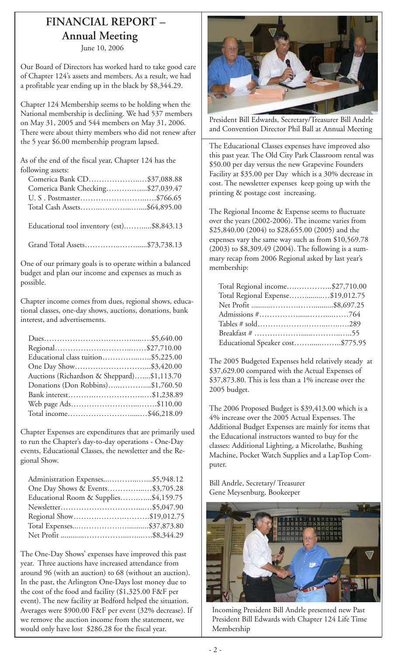## **FINANCIAL REPORT – Annual Meeting**

June 10, 2006

Our Board of Directors has worked hard to take good care of Chapter 124's assets and members. As a result, we had a profitable year ending up in the black by \$8,344.29.

Chapter 124 Membership seems to be holding when the National membership is declining. We had 537 members on May 31, 2005 and 544 members on May 31, 2006. There were about thirty members who did not renew after the 5 year \$6.00 membership program lapsed.

As of the end of the fiscal year, Chapter 124 has the following assets:

| Comerica Bank CD\$37,088.88       |  |
|-----------------------------------|--|
| Comerica Bank Checking\$27,039.47 |  |
|                                   |  |
| Total Cash Assets\$64,895.00      |  |

Educational tool inventory (est).…….....\$8,843.13

Grand Total Assets…………..……......\$73,738.13

One of our primary goals is to operate within a balanced budget and plan our income and expenses as much as possible.

Chapter income comes from dues, regional shows, educational classes, one-day shows, auctions, donations, bank interest, and advertisements.

| Educational class tuition\$5,225.00        |  |
|--------------------------------------------|--|
| One Day Show\$3,420.00                     |  |
| Auctions (Richardson & Sheppard)\$1,113.70 |  |
| Donations (Don Robbins)\$1,760.50          |  |
| Bank interest\$1,238.89                    |  |
|                                            |  |
| Total income\$46,218.09                    |  |

Chapter Expenses are expenditures that are primarily used to run the Chapter's day-to-day operations - One-Day events, Educational Classes, the newsletter and the Regional Show.

| One Day Shows & Events\$3,705.28      |  |
|---------------------------------------|--|
| Educational Room & Supplies\$4,159.75 |  |
|                                       |  |
| Regional Show\$19,012.75              |  |
|                                       |  |
|                                       |  |

The One-Day Shows' expenses have improved this past year. Three auctions have increased attendance from around 96 (with an auction) to 68 (without an auction). In the past, the Arlington One-Days lost money due to the cost of the food and facility (\$1,325.00 F&F per event). The new facility at Bedford helped the situation. Averages were \$900.00 F&F per event (32% decrease). If we remove the auction income from the statement, we would only have lost \$286.28 for the fiscal year.



President Bill Edwards, Secretary/Treasurer Bill Andrle and Convention Director Phil Ball at Annual Meeting

The Educational Classes expenses have improved also this past year. The Old City Park Classroom rental was \$50.00 per day versus the new Grapevine Founders Facility at \$35.00 per Day which is a 30% decrease in cost. The newsletter expenses keep going up with the printing & postage cost increasing.

The Regional Income & Expense seems to fluctuate over the years (2002-2006). The income varies from \$25,840.00 (2004) to \$28,655.00 (2005) and the expenses vary the same way such as from \$10,569.78 (2003) to \$8,309.49 (2004). The following is a summary recap from 2006 Regional asked by last year's membership:

| Total Regional income\$27,710.00  |  |
|-----------------------------------|--|
| Total Regional Expense\$19,012.75 |  |
|                                   |  |
|                                   |  |
|                                   |  |
|                                   |  |
| Educational Speaker cost\$775.95  |  |
|                                   |  |

The 2005 Budgeted Expenses held relatively steady at \$37,629.00 compared with the Actual Expenses of \$37,873.80. This is less than a 1% increase over the 2005 budget.

The 2006 Proposed Budget is \$39,413.00 which is a 4% increase over the 2005 Actual Expenses. The Additional Budget Expenses are mainly for items that the Educational instructors wanted to buy for the classes: Additional Lighting, a Microlathe, Bushing Machine, Pocket Watch Supplies and a LapTop Computer.

Bill Andrle, Secretary/ Treasurer Gene Meysenburg, Bookeeper



Incoming President Bill Andrle presented new Past President Bill Edwards with Chapter 124 Life Time Membership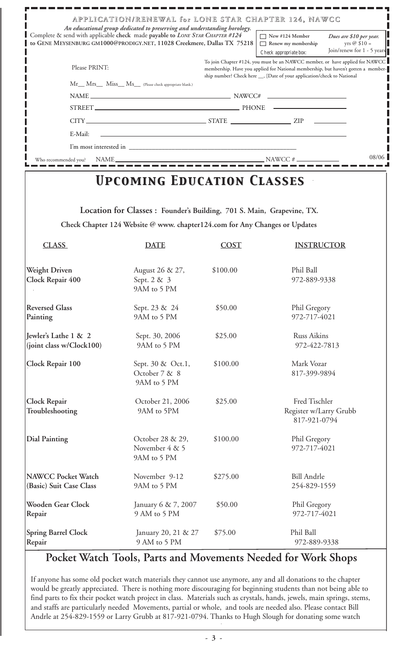|                                                                                                                                                                                                                                  |                                                                                                                                                                                           |             | APPLICATION/RENEWAL for LONE STAR CHAPTER 124, NAWCC                                                                                                          |               |  |
|----------------------------------------------------------------------------------------------------------------------------------------------------------------------------------------------------------------------------------|-------------------------------------------------------------------------------------------------------------------------------------------------------------------------------------------|-------------|---------------------------------------------------------------------------------------------------------------------------------------------------------------|---------------|--|
| An educational group dedicated to preserving and understanding horology.<br>Complete & send with applicable check made payable to LONE STAR CHAPTER #124<br>GENE MEYSENBURG GM1000@PRODIGY.NET, 11028 Creekmere, Dallas TX 75218 |                                                                                                                                                                                           |             | $\Box$ New #124 Member<br>Dues are \$10 per year.<br>Renew my membership<br>Join/renew for 1 - 5 years                                                        | yrs @ $$10 =$ |  |
|                                                                                                                                                                                                                                  |                                                                                                                                                                                           |             | Check appropriate box:<br>To join Chapter #124, you must be an NAWCC member, or have applied for NAWCC                                                        |               |  |
| Please PRINT:                                                                                                                                                                                                                    |                                                                                                                                                                                           |             | membership. Have you applied for National membership, but haven't gotten a member-<br>ship number? Check here __, [Date of your application/check to National |               |  |
|                                                                                                                                                                                                                                  | Mr__Mrs__Miss_Ms_Clease check appropriate blank.)                                                                                                                                         |             |                                                                                                                                                               |               |  |
|                                                                                                                                                                                                                                  |                                                                                                                                                                                           |             |                                                                                                                                                               |               |  |
|                                                                                                                                                                                                                                  |                                                                                                                                                                                           |             | STREET PHONE PHONE                                                                                                                                            |               |  |
|                                                                                                                                                                                                                                  |                                                                                                                                                                                           |             | $CITY$ $ZIP$ $ZIP$                                                                                                                                            |               |  |
| E-Mail:                                                                                                                                                                                                                          |                                                                                                                                                                                           |             |                                                                                                                                                               |               |  |
|                                                                                                                                                                                                                                  |                                                                                                                                                                                           |             |                                                                                                                                                               |               |  |
| Who recommended you?                                                                                                                                                                                                             |                                                                                                                                                                                           |             |                                                                                                                                                               | 08/06         |  |
|                                                                                                                                                                                                                                  | <b>UPCOMING EDUCATION CLASSES</b><br>Location for Classes : Founder's Building, 701 S. Main, Grapevine, TX.<br>Check Chapter 124 Website @ www. chapter124.com for Any Changes or Updates |             |                                                                                                                                                               |               |  |
| <b>CLASS</b>                                                                                                                                                                                                                     | <b>DATE</b>                                                                                                                                                                               | <b>COST</b> | <b>INSTRUCTOR</b>                                                                                                                                             |               |  |
| <b>Weight Driven</b><br><b>Clock Repair 400</b>                                                                                                                                                                                  | August 26 & 27,<br>Sept. 2 & 3<br>9AM to 5 PM                                                                                                                                             | \$100.00    | Phil Ball<br>972-889-9338                                                                                                                                     |               |  |
| <b>Reversed Glass</b><br>Painting                                                                                                                                                                                                | Sept. 23 & 24<br>9AM to 5 PM                                                                                                                                                              | \$50.00     | Phil Gregory<br>972-717-4021                                                                                                                                  |               |  |
| Jewler's Lathe 1 & 2<br>(joint class w/Clock100)                                                                                                                                                                                 | Sept. 30, 2006<br>9AM to 5 PM                                                                                                                                                             | \$25.00     | <b>Russ Aikins</b><br>972-422-7813                                                                                                                            |               |  |
| Clock Repair 100                                                                                                                                                                                                                 | Sept. 30 & Oct.1,<br>October 7 & 8<br>9AM to 5 PM                                                                                                                                         | \$100.00    | Mark Vozar<br>817-399-9894                                                                                                                                    |               |  |
| Clock Repair<br>Troubleshooting                                                                                                                                                                                                  | October 21, 2006<br>9AM to 5PM                                                                                                                                                            | \$25.00     | Fred Tischler<br>Register w/Larry Grubb<br>817-921-0794                                                                                                       |               |  |
| <b>Dial Painting</b>                                                                                                                                                                                                             | October 28 & 29,<br>November 4 & 5<br>9AM to 5 PM                                                                                                                                         | \$100.00    | Phil Gregory<br>972-717-4021                                                                                                                                  |               |  |
| <b>NAWCC Pocket Watch</b><br>(Basic) Suit Case Class                                                                                                                                                                             | November 9-12<br>9AM to 5 PM                                                                                                                                                              | \$275.00    | <b>Bill Andrle</b><br>254-829-1559                                                                                                                            |               |  |
| <b>Wooden Gear Clock</b><br>Repair                                                                                                                                                                                               | January 6 & 7, 2007<br>9 AM to 5 PM                                                                                                                                                       | \$50.00     | Phil Gregory<br>972-717-4021                                                                                                                                  |               |  |
| <b>Spring Barrel Clock</b><br>Repair                                                                                                                                                                                             | January 20, 21 & 27<br>9 AM to 5 PM                                                                                                                                                       | \$75.00     | Phil Ball<br>972-889-9338                                                                                                                                     |               |  |
|                                                                                                                                                                                                                                  |                                                                                                                                                                                           |             | Pocket Watch Tools, Parts and Movements Needed for Work Shops                                                                                                 |               |  |

If anyone has some old pocket watch materials they cannot use anymore, any and all donations to the chapter would be greatly appreciated. There is nothing more discouraging for beginning students than not being able to find parts to fix their pocket watch project in class. Materials such as crystals, hands, jewels, main springs, stems, and staffs are particularly needed Movements, partial or whole, and tools are needed also. Please contact Bill Andrle at 254-829-1559 or Larry Grubb at 817-921-0794. Thanks to Hugh Slough for donating some watch